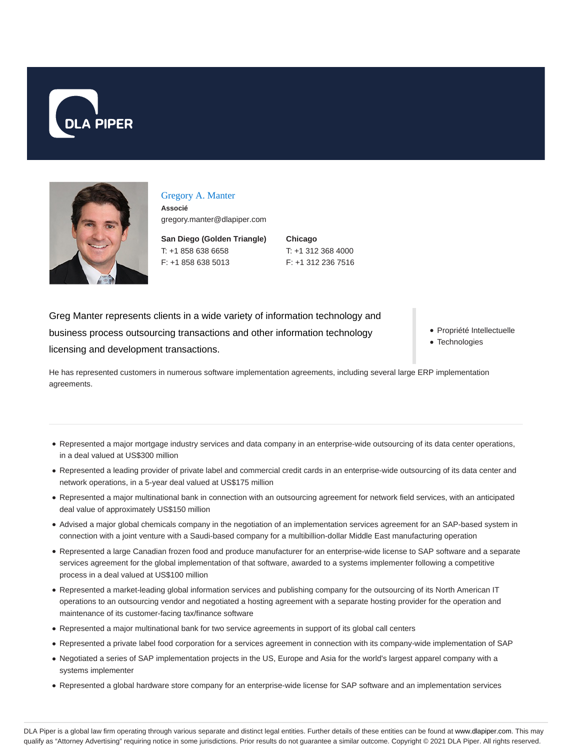



#### Gregory A. Manter

**Associé** gregory.manter@dlapiper.com

**San Diego (Golden Triangle)** T: +1 858 638 6658 F: +1 858 638 5013

**Chicago** T: +1 312 368 4000 F: +1 312 236 7516

Greg Manter represents clients in a wide variety of information technology and business process outsourcing transactions and other information technology licensing and development transactions.

Propriété Intellectuelle

Technologies

He has represented customers in numerous software implementation agreements, including several large ERP implementation agreements.

- Represented a major mortgage industry services and data company in an enterprise-wide outsourcing of its data center operations, in a deal valued at US\$300 million
- Represented a leading provider of private label and commercial credit cards in an enterprise-wide outsourcing of its data center and network operations, in a 5-year deal valued at US\$175 million
- Represented a major multinational bank in connection with an outsourcing agreement for network field services, with an anticipated deal value of approximately US\$150 million
- Advised a major global chemicals company in the negotiation of an implementation services agreement for an SAP-based system in connection with a joint venture with a Saudi-based company for a multibillion-dollar Middle East manufacturing operation
- Represented a large Canadian frozen food and produce manufacturer for an enterprise-wide license to SAP software and a separate services agreement for the global implementation of that software, awarded to a systems implementer following a competitive process in a deal valued at US\$100 million
- Represented a market-leading global information services and publishing company for the outsourcing of its North American IT operations to an outsourcing vendor and negotiated a hosting agreement with a separate hosting provider for the operation and maintenance of its customer-facing tax/finance software
- Represented a major multinational bank for two service agreements in support of its global call centers
- Represented a private label food corporation for a services agreement in connection with its company-wide implementation of SAP
- Negotiated a series of SAP implementation projects in the US, Europe and Asia for the world's largest apparel company with a systems implementer
- Represented a global hardware store company for an enterprise-wide license for SAP software and an implementation services